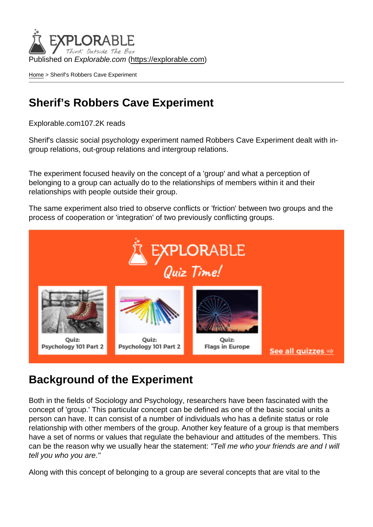Published on Explorable.com (<https://explorable.com>)

[Home](https://explorable.com/) > Sherif's Robbers Cave Experiment

## Sherif's Robbers Cave Experiment

Explorable.com107.2K reads

Sherif's classic social psychology experiment named Robbers Cave Experiment dealt with ingroup relations, out-group relations and intergroup relations.

The experiment focused heavily on the concept of a 'group' and what a perception of belonging to a group can actually do to the relationships of members within it and their relationships with people outside their group.

The same experiment also tried to observe conflicts or 'friction' between two groups and the process of cooperation or 'integration' of two previously conflicting groups.

## Background of the Experiment

Both in the fields of Sociology and Psychology, researchers have been fascinated with the concept of 'group.' This particular concept can be defined as one of the basic social units a person can have. It can consist of a number of individuals who has a definite status or role relationship with other members of the group. Another key feature of a group is that members have a set of norms or values that regulate the behaviour and attitudes of the members. This can be the reason why we usually hear the statement: "Tell me who your friends are and I will tell you who you are."

Along with this concept of belonging to a group are several concepts that are vital to the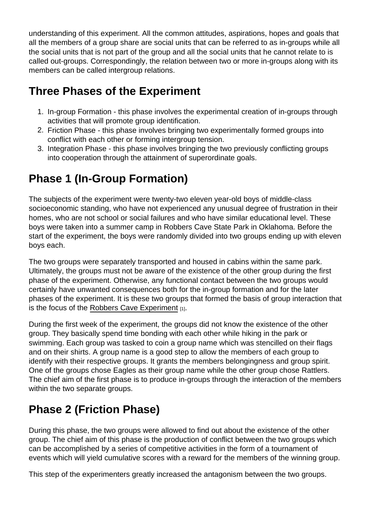understanding of this experiment. All the common attitudes, aspirations, hopes and goals that all the members of a group share are social units that can be referred to as in-groups while all the social units that is not part of the group and all the social units that he cannot relate to is called out-groups. Correspondingly, the relation between two or more in-groups along with its members can be called intergroup relations.

## Three Phases of the Experiment

- 1. In-group Formation this phase involves the experimental creation of in-groups through activities that will promote group identification.
- 2. Friction Phase this phase involves bringing two experimentally formed groups into conflict with each other or forming intergroup tension.
- 3. Integration Phase this phase involves bringing the two previously conflicting groups into cooperation through the attainment of superordinate goals.

## Phase 1 (In-Group Formation)

The subjects of the experiment were twenty-two eleven year-old boys of middle-class socioeconomic standing, who have not experienced any unusual degree of frustration in their homes, who are not school or social failures and who have similar educational level. These boys were taken into a summer camp in Robbers Cave State Park in Oklahoma. Before the start of the experiment, the boys were randomly divided into two groups ending up with eleven boys each.

The two groups were separately transported and housed in cabins within the same park. Ultimately, the groups must not be aware of the existence of the other group during the first phase of the experiment. Otherwise, any functional contact between the two groups would certainly have unwanted consequences both for the in-group formation and for the later phases of the experiment. It is these two groups that formed the basis of group interaction that is the focus of the [Robbers Cave Experiment](http://www.spring.org.uk/2007/09/war-peace-and-role-of-power-in-sherifs.php)  $[1]$ .

During the first week of the experiment, the groups did not know the existence of the other group. They basically spend time bonding with each other while hiking in the park or swimming. Each group was tasked to coin a group name which was stencilled on their flags and on their shirts. A group name is a good step to allow the members of each group to identify with their respective groups. It grants the members belongingness and group spirit. One of the groups chose Eagles as their group name while the other group chose Rattlers. The chief aim of the first phase is to produce in-groups through the interaction of the members within the two separate groups.

# Phase 2 (Friction Phase)

During this phase, the two groups were allowed to find out about the existence of the other group. The chief aim of this phase is the production of conflict between the two groups which can be accomplished by a series of competitive activities in the form of a tournament of events which will yield cumulative scores with a reward for the members of the winning group.

This step of the experimenters greatly increased the antagonism between the two groups.